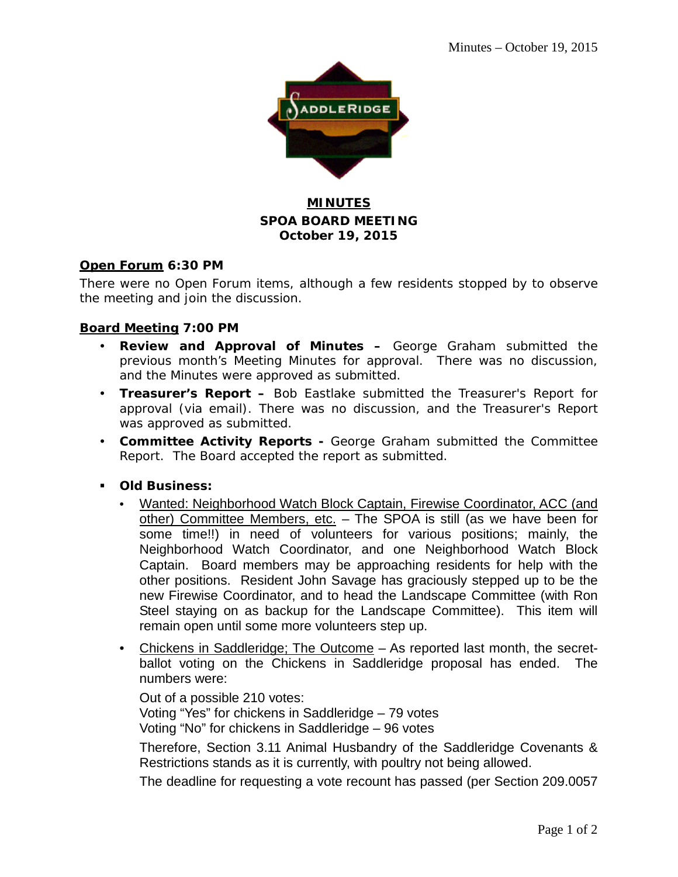

## **MINUTES SPOA BOARD MEETING October 19, 2015**

### **Open Forum 6:30 PM**

There were no Open Forum items, although a few residents stopped by to observe the meeting and join the discussion.

### **Board Meeting 7:00 PM**

- **Review and Approval of Minutes –** George Graham submitted the previous month's Meeting Minutes for approval. There was no discussion, and the Minutes were approved as submitted.
- **Treasurer's Report –** Bob Eastlake submitted the Treasurer's Report for approval (via email). There was no discussion, and the Treasurer's Report was approved as submitted.
- **Committee Activity Reports -** George Graham submitted the Committee Report. The Board accepted the report as submitted.
- **Old Business:**
	- Wanted: Neighborhood Watch Block Captain, Firewise Coordinator, ACC (and other) Committee Members, etc. - The SPOA is still (as we have been for some time!!) in need of volunteers for various positions; mainly, the Neighborhood Watch Coordinator, and one Neighborhood Watch Block Captain. Board members may be approaching residents for help with the other positions. Resident John Savage has graciously stepped up to be the new Firewise Coordinator, and to head the Landscape Committee (with Ron Steel staying on as backup for the Landscape Committee). This item will remain open until some more volunteers step up.
	- Chickens in Saddleridge; The Outcome As reported last month, the secretballot voting on the Chickens in Saddleridge proposal has ended. The numbers were:

Out of a possible 210 votes: Voting "Yes" for chickens in Saddleridge – 79 votes Voting "No" for chickens in Saddleridge – 96 votes

Therefore, Section 3.11 Animal Husbandry of the Saddleridge Covenants & Restrictions stands as it is currently, with poultry not being allowed.

The deadline for requesting a vote recount has passed (per Section 209.0057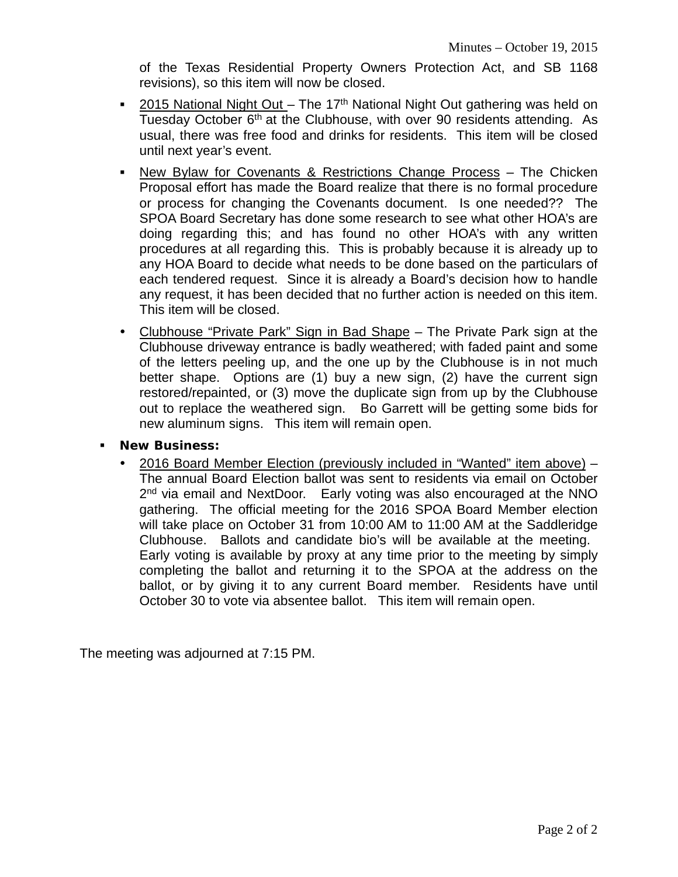of the Texas Residential Property Owners Protection Act, and SB 1168 revisions), so this item will now be closed.

- 2015 National Night Out The 17<sup>th</sup> National Night Out gathering was held on Tuesday October 6<sup>th</sup> at the Clubhouse, with over 90 residents attending. As usual, there was free food and drinks for residents. This item will be closed until next year's event.
- New Bylaw for Covenants & Restrictions Change Process The Chicken Proposal effort has made the Board realize that there is no formal procedure or process for changing the Covenants document. Is one needed?? The SPOA Board Secretary has done some research to see what other HOA's are doing regarding this; and has found no other HOA's with any written procedures at all regarding this. This is probably because it is already up to any HOA Board to decide what needs to be done based on the particulars of each tendered request. Since it is already a Board's decision how to handle any request, it has been decided that no further action is needed on this item. This item will be closed.
- Clubhouse "Private Park" Sign in Bad Shape The Private Park sign at the Clubhouse driveway entrance is badly weathered; with faded paint and some of the letters peeling up, and the one up by the Clubhouse is in not much better shape. Options are (1) buy a new sign, (2) have the current sign restored/repainted, or (3) move the duplicate sign from up by the Clubhouse out to replace the weathered sign. Bo Garrett will be getting some bids for new aluminum signs. This item will remain open.
- **New Business:**
	- 2016 Board Member Election (previously included in "Wanted" item above) The annual Board Election ballot was sent to residents via email on October 2<sup>nd</sup> via email and NextDoor. Early voting was also encouraged at the NNO gathering. The official meeting for the 2016 SPOA Board Member election will take place on October 31 from 10:00 AM to 11:00 AM at the Saddleridge Clubhouse. Ballots and candidate bio's will be available at the meeting. Early voting is available by proxy at any time prior to the meeting by simply completing the ballot and returning it to the SPOA at the address on the ballot, or by giving it to any current Board member. Residents have until October 30 to vote via absentee ballot. This item will remain open.

The meeting was adjourned at 7:15 PM.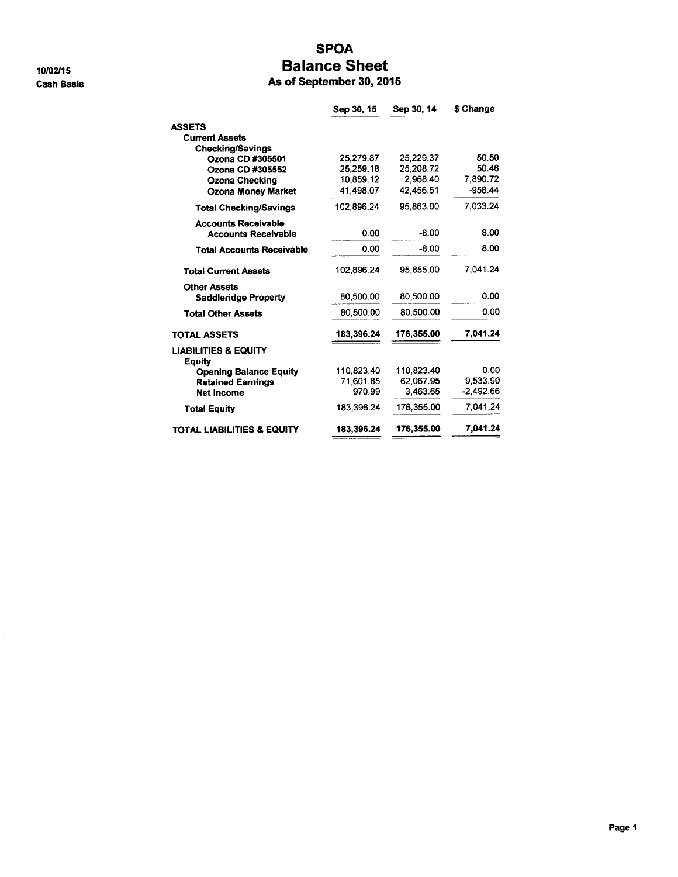10/02/15 **Cash Basis** 

### **SPOA Balance Sheet** As of September 30, 2015

|                                                  | Sep 30, 15             | Sep 30, 14            | \$ Change         |
|--------------------------------------------------|------------------------|-----------------------|-------------------|
| <b>ASSETS</b>                                    |                        |                       |                   |
| <b>Current Assets</b>                            |                        |                       |                   |
| <b>Checking/Savings</b>                          |                        |                       |                   |
| Ozona CD #305501                                 | 25,279.87              | 25,229.37             | 50.50             |
| Ozona CD #305552                                 | 25.259.18              | 25,208.72<br>2.968.40 | 50.46<br>7.890.72 |
| Ozona Checking                                   | 10.859.12<br>41,498.07 | 42,456.51             | $-958.44$         |
| <b>Ozona Money Market</b>                        |                        |                       |                   |
| <b>Total Checking/Savings</b>                    | 102.896.24             | 95,863.00             | 7.033.24          |
| <b>Accounts Receivable</b>                       |                        |                       |                   |
| <b>Accounts Receivable</b>                       | 0.00                   | $-8.00$               | 8.00              |
| <b>Total Accounts Receivable</b>                 | 0.00                   | $-8.00$               | 8.00              |
| <b>Total Current Assets</b>                      | 102.896.24             | 95,855.00             | 7,041.24          |
| <b>Other Assets</b>                              |                        |                       |                   |
| <b>Saddleridge Property</b>                      | 80,500.00              | 80,500.00             | 0.00              |
| <b>Total Other Assets</b>                        | 80,500.00              | 80,500.00             | 0.00              |
| <b>TOTAL ASSETS</b>                              | 183,396.24             | 176,355.00            | 7,041.24          |
| <b>LIABILITIES &amp; EQUITY</b><br><b>Equity</b> |                        |                       |                   |
| <b>Opening Balance Equity</b>                    | 110,823.40             | 110,823.40            | 0.00              |
| <b>Retained Earnings</b>                         | 71.601.85              | 62,067.95             | 9.533.90          |
| <b>Net Income</b>                                | 970.99                 | 3.463.65              | $-2,492.66$       |
| <b>Total Equity</b>                              | 183,396.24             | 176.355.00            | 7,041.24          |
| TOTAL LIABILITIES & EQUITY                       | 183,396.24             | 176,355.00            | 7,041.24          |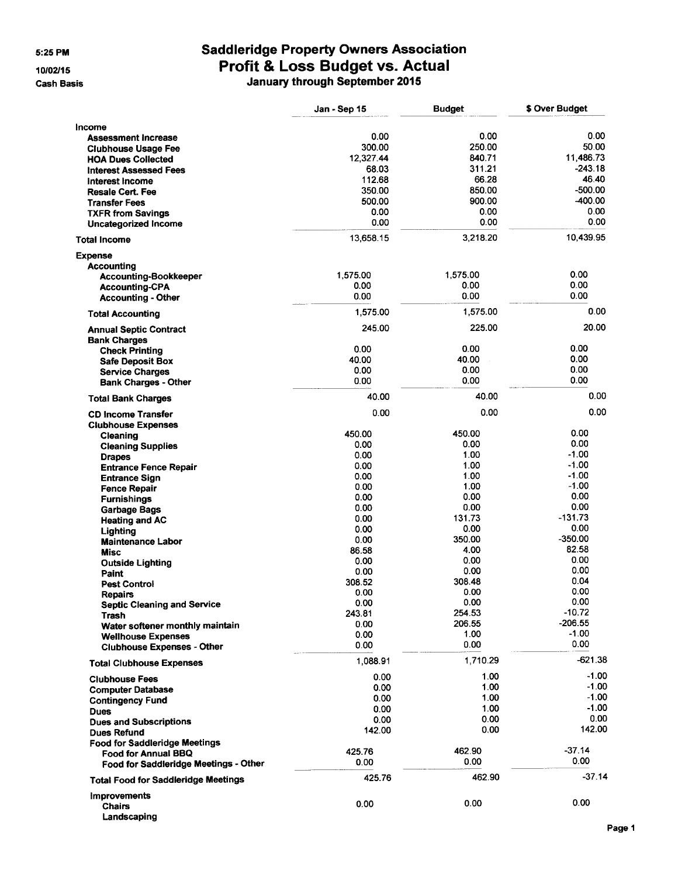5:25 PM

10/02/15

**Cash Basis** 

# **Saddleridge Property Owners Association** Profit & Loss Budget vs. Actual<br>January through September 2015

|                                            | Jan - Sep 15 | <b>Budget</b> | \$ Over Budget     |
|--------------------------------------------|--------------|---------------|--------------------|
| Income                                     |              |               |                    |
| <b>Assessment Increase</b>                 | 0.00         | 0.00          | 0.00               |
| <b>Clubhouse Usage Fee</b>                 | 300.00       | 250.00        | 50.00              |
| <b>HOA Dues Collected</b>                  | 12,327.44    | 840.71        | 11,486.73          |
| <b>Interest Assessed Fees</b>              | 68.03        | 311.21        | $-243.18$          |
|                                            | 112.68       | 66.28         | 46.40              |
| Interest Income                            | 350.00       | 850.00        | $-500.00$          |
| <b>Resale Cert. Fee</b>                    |              | 900.00        | -400.00            |
| <b>Transfer Fees</b>                       | 500.00       |               |                    |
| <b>TXFR from Savings</b>                   | 0.00         | 0.00          | 0.00<br>0.00       |
| Uncategorized Income                       | 0.00         | 0.00          |                    |
| <b>Total Income</b>                        | 13,658.15    | 3,218.20      | 10,439.95          |
| <b>Expense</b>                             |              |               |                    |
| Accounting<br><b>Accounting-Bookkeeper</b> | 1,575.00     | 1,575.00      | 0.00               |
| <b>Accounting-CPA</b>                      | 0.00         | 0.00          | 0.00               |
| <b>Accounting - Other</b>                  | 0.00         | 0.00          | 0.00               |
| <b>Total Accounting</b>                    | 1,575.00     | 1,575.00      | 0.00               |
| <b>Annual Septic Contract</b>              | 245.00       | 225.00        | 20.00              |
| <b>Bank Charges</b>                        |              |               |                    |
| <b>Check Printing</b>                      | 0.00         | 0.00          | 0.00               |
| <b>Safe Deposit Box</b>                    | 40.00        | 40.00         | 0.00               |
| <b>Service Charges</b>                     | 0.00         | 0.00          | 0.00               |
| <b>Bank Charges - Other</b>                | 0.00         | 0.00          | 0.00               |
| <b>Total Bank Charges</b>                  | 40.00        | 40.00         | 0.00               |
| <b>CD Income Transfer</b>                  | 0.00         | 0.00          | 0.00               |
| <b>Clubhouse Expenses</b>                  |              |               |                    |
| Cleaning                                   | 450.00       | 450.00        | 0.00               |
| <b>Cleaning Supplies</b>                   | 0.00         | 0.00          | 0.00               |
| <b>Drapes</b>                              | 0.00         | 1.00          | $-1.00$            |
| <b>Entrance Fence Repair</b>               | 0.00         | 1.00          | $-1.00$            |
| <b>Entrance Sign</b>                       | 0.00         | 1.00          | $-1.00$            |
| <b>Fence Repair</b>                        | 0.00         | 1.00          | $-1.00$            |
| <b>Furnishings</b>                         | 0.00         | 0.00          | 0.00               |
| <b>Garbage Bags</b>                        | 0.00         | 0.00          | 0.00               |
| <b>Heating and AC</b>                      | 0.00         | 131.73        | $-131.73$          |
| Lighting                                   | 0.00         | 0.00          | 0.00               |
| <b>Maintenance Labor</b>                   | 0.00         | 350.00        | $-350.00$          |
| <b>Misc</b>                                | 86.58        | 4.00          | 82.58              |
| <b>Outside Lighting</b>                    | 0.00         | 0.00          | 0.00               |
| Paint                                      | 0.00         | 0.00          | 0.00               |
| <b>Pest Control</b>                        | 308.52       | 308.48        | 0.04               |
| <b>Repairs</b>                             | 0.00         | 0.00          | 0.00               |
| <b>Septic Cleaning and Service</b>         | 0.00         | 0.00          | 0.00               |
| Trash                                      | 243.81       | 254.53        | $-10.72$           |
| Water softener monthly maintain            | 0.00         | 206.55        | $-206.55$          |
| <b>Wellhouse Expenses</b>                  | 0.00         | 1.00          | $-1.00$            |
| <b>Clubhouse Expenses - Other</b>          | 0.00         | 0.00          | 0.00               |
| <b>Total Clubhouse Expenses</b>            | 1,088.91     | 1,710.29      | $-621.38$          |
| <b>Clubhouse Fees</b>                      | 0.00         | 1.00<br>1.00  | $-1.00$<br>$-1.00$ |
| <b>Computer Database</b>                   | 0.00         |               | $-1.00$            |
| <b>Contingency Fund</b>                    | 0.00         | 1.00          |                    |
| <b>Dues</b>                                | 0.00         | 1.00          | $-1.00$            |
| <b>Dues and Subscriptions</b>              | 0.00         | 0.00          | 0.00               |
| <b>Dues Refund</b>                         | 142.00       | 0.00          | 142.00             |
| <b>Food for Saddleridge Meetings</b>       |              |               |                    |
| Food for Annual BBQ                        | 425.76       | 462.90        | $-37.14$           |
| Food for Saddleridge Meetings - Other      | 0.00         | 0.00          | 0.00               |
| <b>Total Food for Saddleridge Meetings</b> | 425.76       | 462.90        | $-37.14$           |
| <b>Improvements</b>                        |              | 0.00          | 0.00               |
| <b>Chairs</b>                              | 0.00         |               |                    |
| Landscaping                                |              |               |                    |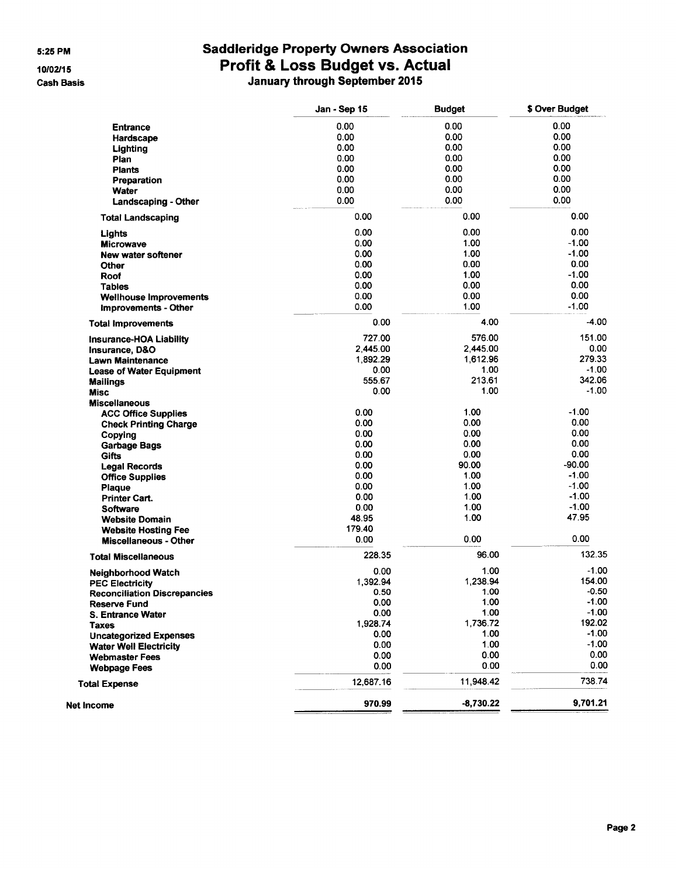5:25 PM

10/02/15

**Cash Basis** 

**Net** 

# **Saddleridge Property Owners Association** Profit & Loss Budget vs. Actual<br>January through September 2015

|                                     | Jan - Sep 15 | <b>Budget</b> | \$ Over Budget |
|-------------------------------------|--------------|---------------|----------------|
| <b>Entrance</b>                     | 0.00         | 0.00          | 0.00           |
|                                     | 0.00         | 0.00          | 0.00           |
| Hardscape                           | 0.00         | 0.00          | 0.00           |
| Lighting                            | 0.00         | 0.00          | 0.00           |
| Plan                                |              | 0.00          | 0.00           |
| <b>Plants</b>                       | 0.00         |               |                |
| Preparation                         | 0.00         | 0.00          | 0.00           |
| Water                               | 0.00         | 0.00          | 0.00           |
| Landscaping - Other                 | 0.00         | 0.00          | 0.00           |
| <b>Total Landscaping</b>            | 0.00         | 0.00          | 0.00           |
| Lights                              | 0.00         | 0.00          | 0.00           |
| <b>Microwave</b>                    | 0.00         | 1.00          | $-1.00$        |
| <b>New water softener</b>           | 0.00         | 1.00          | $-1.00$        |
| Other                               | 0.00         | 0.00          | 0.00           |
| Roof                                | 0.00         | 1.00          | $-1.00$        |
| <b>Tables</b>                       | 0.00         | 0.00          | 0.00           |
| <b>Wellhouse Improvements</b>       | 0.00         | 0.00          | 0.00           |
| Improvements - Other                | 0.00         | 1.00          | $-1.00$        |
| <b>Total Improvements</b>           | 0.00         | 4.00          | -4.00          |
| <b>Insurance-HOA Liability</b>      | 727.00       | 576.00        | 151.00         |
| <b>Insurance, D&amp;O</b>           | 2.445.00     | 2,445.00      | 0.00           |
| <b>Lawn Maintenance</b>             | 1,892.29     | 1.612.96      | 279.33         |
| <b>Lease of Water Equipment</b>     | 0.00         | 1.00          | $-1.00$        |
| <b>Mailings</b>                     | 555.67       | 213.61        | 342.06         |
| <b>Misc</b>                         | 0.00         | 1.00          | $-1.00$        |
|                                     |              |               |                |
| <b>Miscellaneous</b>                | 0.00         | 1.00          | $-1.00$        |
| <b>ACC Office Supplies</b>          |              |               |                |
| <b>Check Printing Charge</b>        | 0.00         | 0.00          | 0.00           |
| Copying                             | 0.00         | 0.00          | 0.00           |
| <b>Garbage Bags</b>                 | 0.00         | 0.00          | 0.00           |
| Gifts                               | 0.00         | 0.00          | 0.00           |
| <b>Legal Records</b>                | 0.00         | 90.00         | $-90.00$       |
| <b>Office Supplies</b>              | 0.00         | 1.00          | $-1.00$        |
| Plaque                              | 0.00         | 1.00          | $-1.00$        |
| <b>Printer Cart.</b>                | 0.00         | 1.00          | $-1.00$        |
| Software                            | 0.00         | 1.00          | $-1.00$        |
| <b>Website Domain</b>               | 48.95        | 1.00          | 47.95          |
| <b>Website Hosting Fee</b>          | 179.40       |               |                |
| <b>Miscellaneous - Other</b>        | 0.00         | 0.00          | 0.00           |
| <b>Total Miscellaneous</b>          | 228.35       | 96.00         | 132.35         |
| <b>Neighborhood Watch</b>           | 0.00         | 1.00          | $-1.00$        |
| <b>PEC Electricity</b>              | 1,392.94     | 1,238.94      | 154.00         |
| <b>Reconciliation Discrepancies</b> | 0.50         | 1.00          | $-0.50$        |
| <b>Reserve Fund</b>                 | 0.00         | 1.00          | -1.00          |
| <b>S. Entrance Water</b>            | 0.00         | 1.00          | $-1.00$        |
|                                     | 1,928.74     | 1,736.72      | 192.02         |
| Taxes                               | 0.00         | 1.00          | $-1.00$        |
| <b>Uncategorized Expenses</b>       |              |               | $-1.00$        |
| <b>Water Well Electricity</b>       | 0.00         | 1.00          |                |
| <b>Webmaster Fees</b>               | 0.00         | 0.00          | 0.00           |
| <b>Webpage Fees</b>                 | 0.00         | 0.00          | 0.00           |
| <b>Total Expense</b>                | 12,687.16    | 11,948.42     | 738.74         |
| et Income                           | 970.99       | $-8,730.22$   | 9,701.21       |
|                                     |              |               |                |